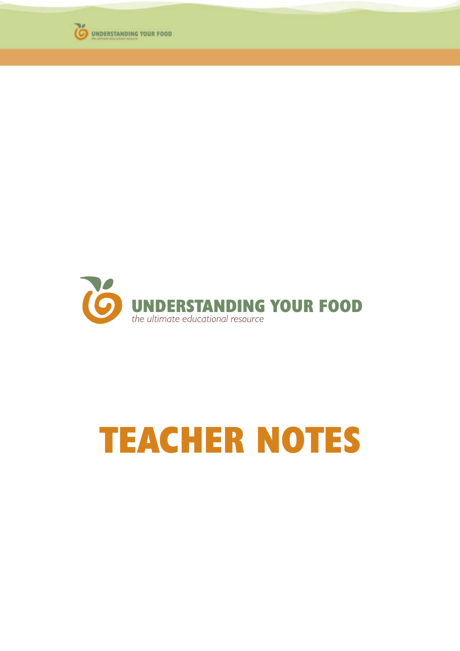



# **TEACHER NOTES**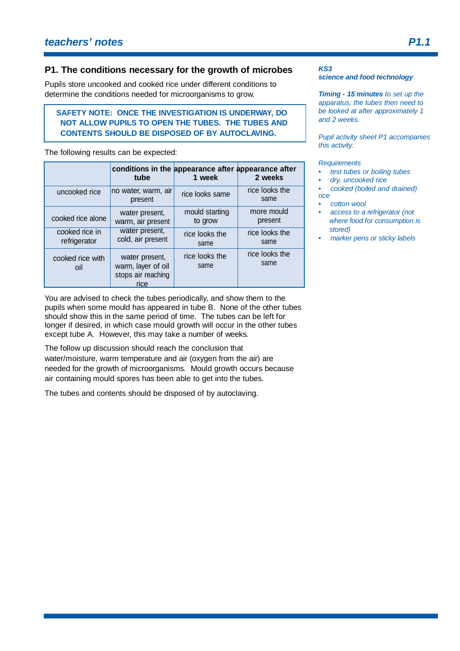## **P1. The conditions necessary for the growth of microbes**

Pupils store uncooked and cooked rice under different conditions to determine the conditions needed for microorganisms to grow.

## **SAFETY NOTE: ONCE THE INVESTIGATION IS UNDERWAY, DO NOT ALLOW PUPILS TO OPEN THE TUBES. THE TUBES AND CONTENTS SHOULD BE DISPOSED OF BY AUTOCLAVING.**

The following results can be expected:

|                                | tube                                                               | conditions in the appearance after appearance after<br>1 week | 2 weeks                |
|--------------------------------|--------------------------------------------------------------------|---------------------------------------------------------------|------------------------|
| uncooked rice                  | no water, warm, air<br>present                                     | rice looks same                                               | rice looks the<br>same |
| cooked rice alone              | water present,<br>warm, air present                                | mould starting<br>to grow                                     | more mould<br>present  |
| cooked rice in<br>refrigerator | water present,<br>cold, air present                                | rice looks the<br>same                                        | rice looks the<br>same |
| cooked rice with<br>oil        | water present,<br>warm, layer of oil<br>stops air reaching<br>rice | rice looks the<br>same                                        | rice looks the<br>same |

You are advised to check the tubes periodically, and show them to the pupils when some mould has appeared in tube B. None of the other tubes should show this in the same period of time. The tubes can be left for longer if desired, in which case mould growth will occur in the other tubes except tube A. However, this may take a number of weeks.

The follow up discussion should reach the conclusion that water/moisture, warm temperature and air (oxygen from the air) are needed for the growth of microorganisms. Mould growth occurs because air containing mould spores has been able to get into the tubes.

The tubes and contents should be disposed of by autoclaving.

#### *KS3 science and food technology*

*Timing - 15 minutes to set up the apparatus; the tubes then need to be looked at after approximately 1 and 2 weeks.*

*Pupil activity sheet P1 accompanies this activity.*

*Requirements*

- *test tubes or boiling tubes*
- *dry, uncooked rice*

*• cooked (boiled and drained) rice*

- *cotton wool*
- *access to a refrigerator (not where food for consumption is stored)*
- *marker pens or sticky labels*